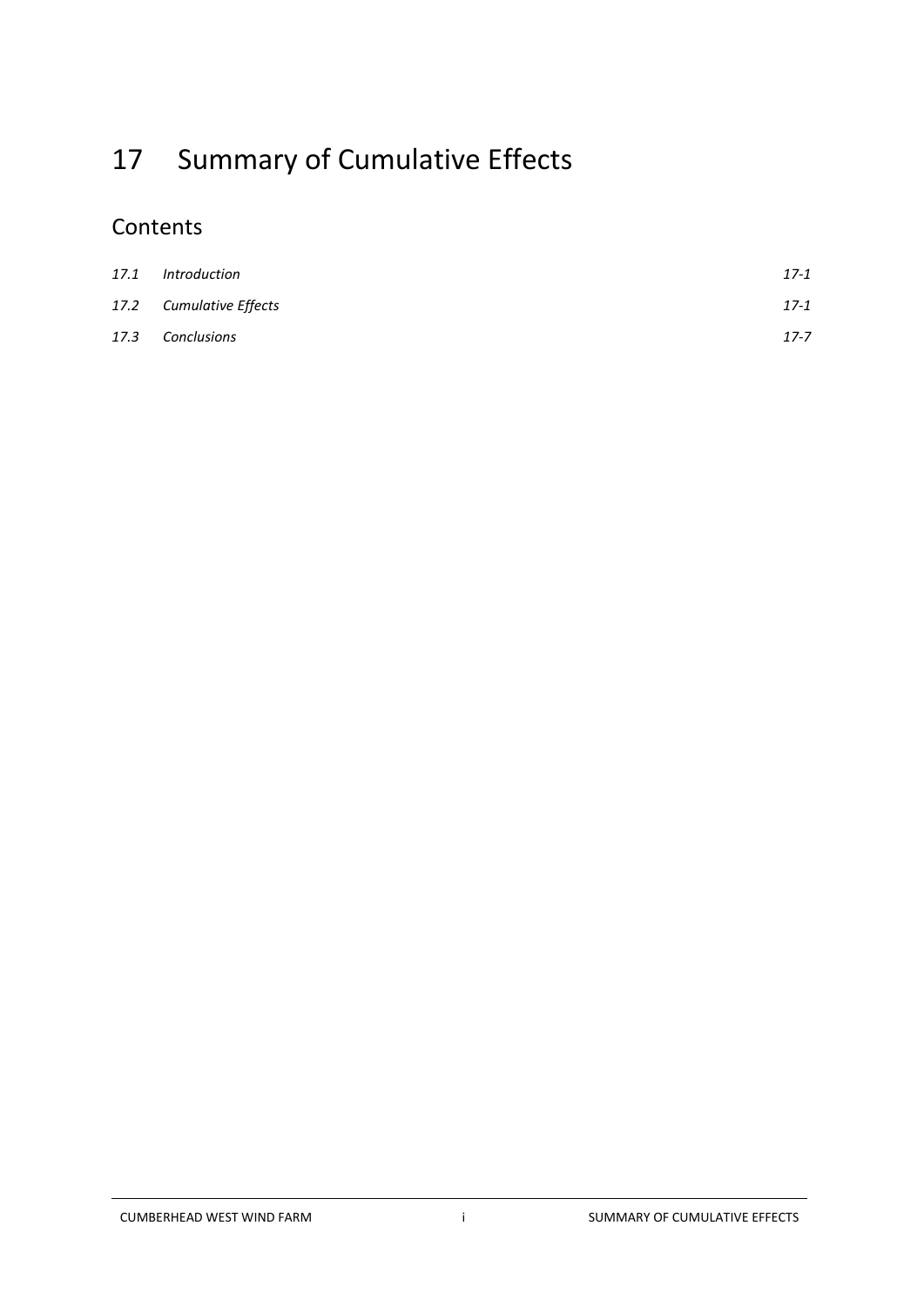# 17 Summary of Cumulative Effects

## **Contents**

| 17.1 | Introduction            | 17-1     |
|------|-------------------------|----------|
|      | 17.2 Cumulative Effects | $17 - 1$ |
|      | 17.3 Conclusions        | $17 - 7$ |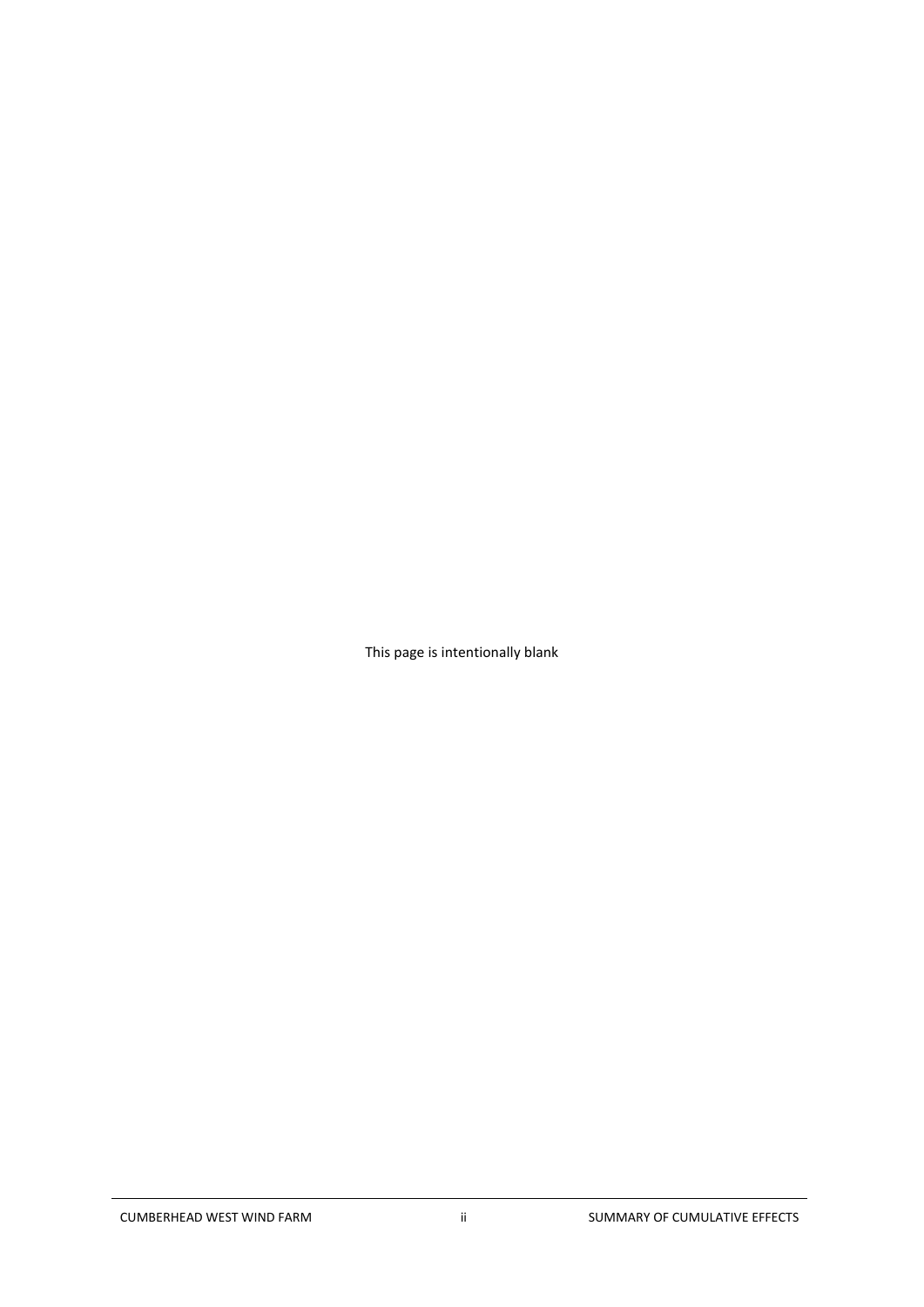This page is intentionally blank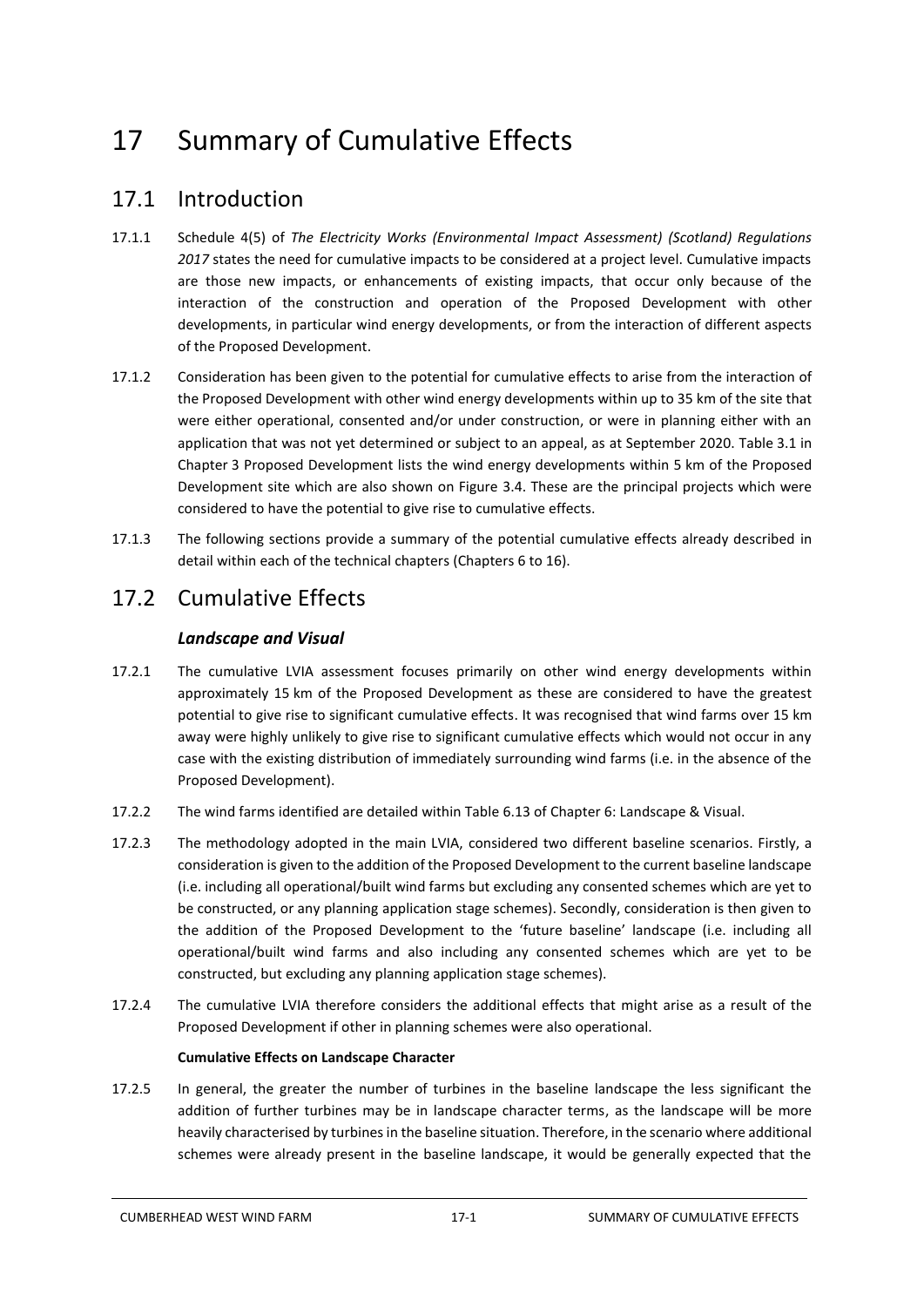# 17 Summary of Cumulative Effects

### <span id="page-2-0"></span>17.1 Introduction

- 17.1.1 Schedule 4(5) of *The Electricity Works (Environmental Impact Assessment) (Scotland) Regulations 2017* states the need for cumulative impacts to be considered at a project level. Cumulative impacts are those new impacts, or enhancements of existing impacts, that occur only because of the interaction of the construction and operation of the Proposed Development with other developments, in particular wind energy developments, or from the interaction of different aspects of the Proposed Development.
- 17.1.2 Consideration has been given to the potential for cumulative effects to arise from the interaction of the Proposed Development with other wind energy developments within up to 35 km of the site that were either operational, consented and/or under construction, or were in planning either with an application that was not yet determined or subject to an appeal, as at September 2020. Table 3.1 in Chapter 3 Proposed Development lists the wind energy developments within 5 km of the Proposed Development site which are also shown on Figure 3.4. These are the principal projects which were considered to have the potential to give rise to cumulative effects.
- 17.1.3 The following sections provide a summary of the potential cumulative effects already described in detail within each of the technical chapters (Chapters 6 to 16).

### <span id="page-2-1"></span>17.2 Cumulative Effects

#### *Landscape and Visual*

- 17.2.1 The cumulative LVIA assessment focuses primarily on other wind energy developments within approximately 15 km of the Proposed Development as these are considered to have the greatest potential to give rise to significant cumulative effects. It was recognised that wind farms over 15 km away were highly unlikely to give rise to significant cumulative effects which would not occur in any case with the existing distribution of immediately surrounding wind farms (i.e. in the absence of the Proposed Development).
- 17.2.2 The wind farms identified are detailed within Table 6.13 of Chapter 6: Landscape & Visual.
- 17.2.3 The methodology adopted in the main LVIA, considered two different baseline scenarios. Firstly, a consideration is given to the addition of the Proposed Development to the current baseline landscape (i.e. including all operational/built wind farms but excluding any consented schemes which are yet to be constructed, or any planning application stage schemes). Secondly, consideration is then given to the addition of the Proposed Development to the 'future baseline' landscape (i.e. including all operational/built wind farms and also including any consented schemes which are yet to be constructed, but excluding any planning application stage schemes).
- 17.2.4 The cumulative LVIA therefore considers the additional effects that might arise as a result of the Proposed Development if other in planning schemes were also operational.

#### **Cumulative Effects on Landscape Character**

17.2.5 In general, the greater the number of turbines in the baseline landscape the less significant the addition of further turbines may be in landscape character terms, as the landscape will be more heavily characterised by turbines in the baseline situation. Therefore, in the scenario where additional schemes were already present in the baseline landscape, it would be generally expected that the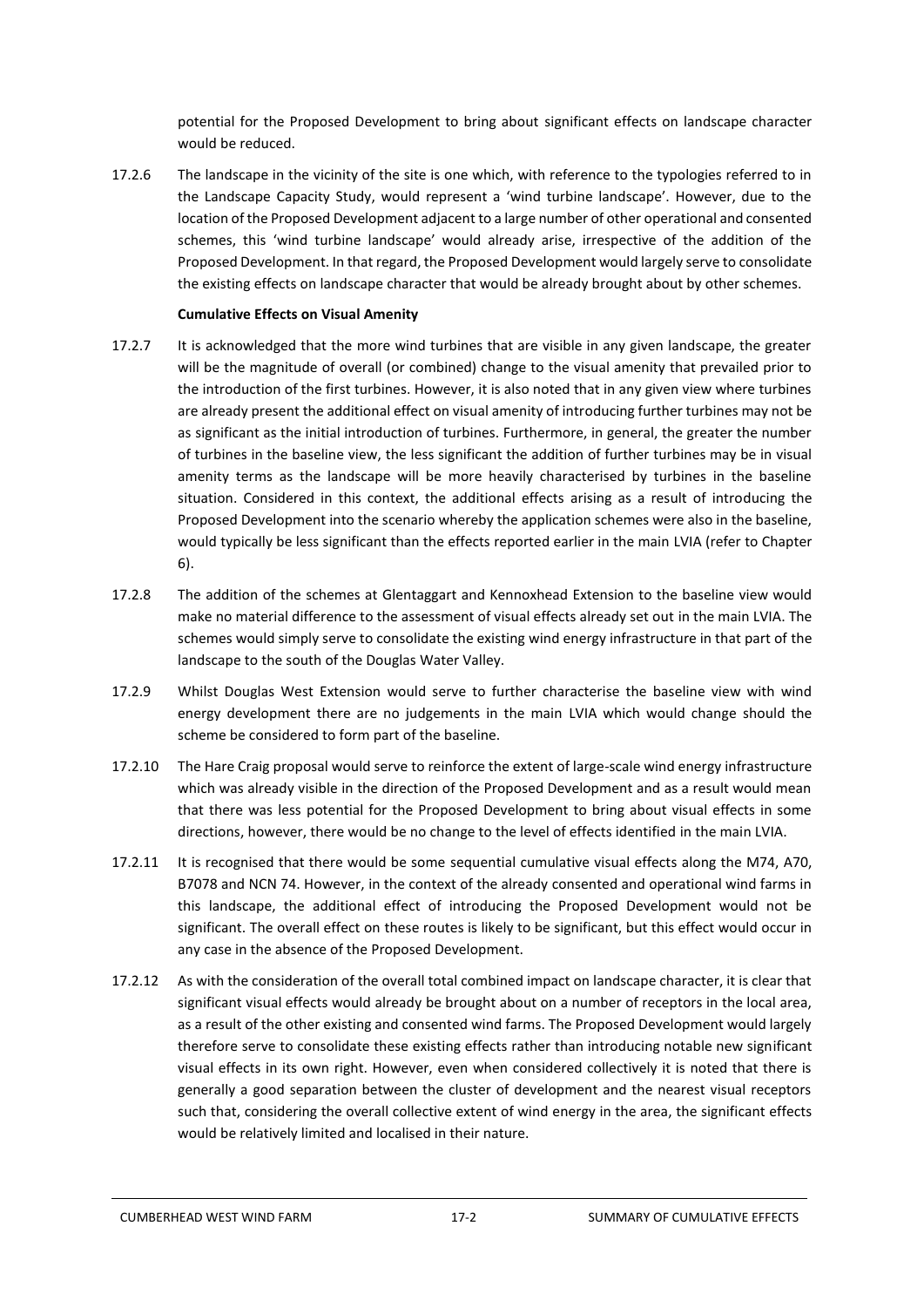potential for the Proposed Development to bring about significant effects on landscape character would be reduced.

17.2.6 The landscape in the vicinity of the site is one which, with reference to the typologies referred to in the Landscape Capacity Study, would represent a 'wind turbine landscape'. However, due to the location of the Proposed Development adjacent to a large number of other operational and consented schemes, this 'wind turbine landscape' would already arise, irrespective of the addition of the Proposed Development. In that regard, the Proposed Development would largely serve to consolidate the existing effects on landscape character that would be already brought about by other schemes.

#### **Cumulative Effects on Visual Amenity**

- 17.2.7 It is acknowledged that the more wind turbines that are visible in any given landscape, the greater will be the magnitude of overall (or combined) change to the visual amenity that prevailed prior to the introduction of the first turbines. However, it is also noted that in any given view where turbines are already present the additional effect on visual amenity of introducing further turbines may not be as significant as the initial introduction of turbines. Furthermore, in general, the greater the number of turbines in the baseline view, the less significant the addition of further turbines may be in visual amenity terms as the landscape will be more heavily characterised by turbines in the baseline situation. Considered in this context, the additional effects arising as a result of introducing the Proposed Development into the scenario whereby the application schemes were also in the baseline, would typically be less significant than the effects reported earlier in the main LVIA (refer to Chapter 6).
- 17.2.8 The addition of the schemes at Glentaggart and Kennoxhead Extension to the baseline view would make no material difference to the assessment of visual effects already set out in the main LVIA. The schemes would simply serve to consolidate the existing wind energy infrastructure in that part of the landscape to the south of the Douglas Water Valley.
- 17.2.9 Whilst Douglas West Extension would serve to further characterise the baseline view with wind energy development there are no judgements in the main LVIA which would change should the scheme be considered to form part of the baseline.
- 17.2.10 The Hare Craig proposal would serve to reinforce the extent of large-scale wind energy infrastructure which was already visible in the direction of the Proposed Development and as a result would mean that there was less potential for the Proposed Development to bring about visual effects in some directions, however, there would be no change to the level of effects identified in the main LVIA.
- 17.2.11 It is recognised that there would be some sequential cumulative visual effects along the M74, A70, B7078 and NCN 74. However, in the context of the already consented and operational wind farms in this landscape, the additional effect of introducing the Proposed Development would not be significant. The overall effect on these routes is likely to be significant, but this effect would occur in any case in the absence of the Proposed Development.
- 17.2.12 As with the consideration of the overall total combined impact on landscape character, it is clear that significant visual effects would already be brought about on a number of receptors in the local area, as a result of the other existing and consented wind farms. The Proposed Development would largely therefore serve to consolidate these existing effects rather than introducing notable new significant visual effects in its own right. However, even when considered collectively it is noted that there is generally a good separation between the cluster of development and the nearest visual receptors such that, considering the overall collective extent of wind energy in the area, the significant effects would be relatively limited and localised in their nature.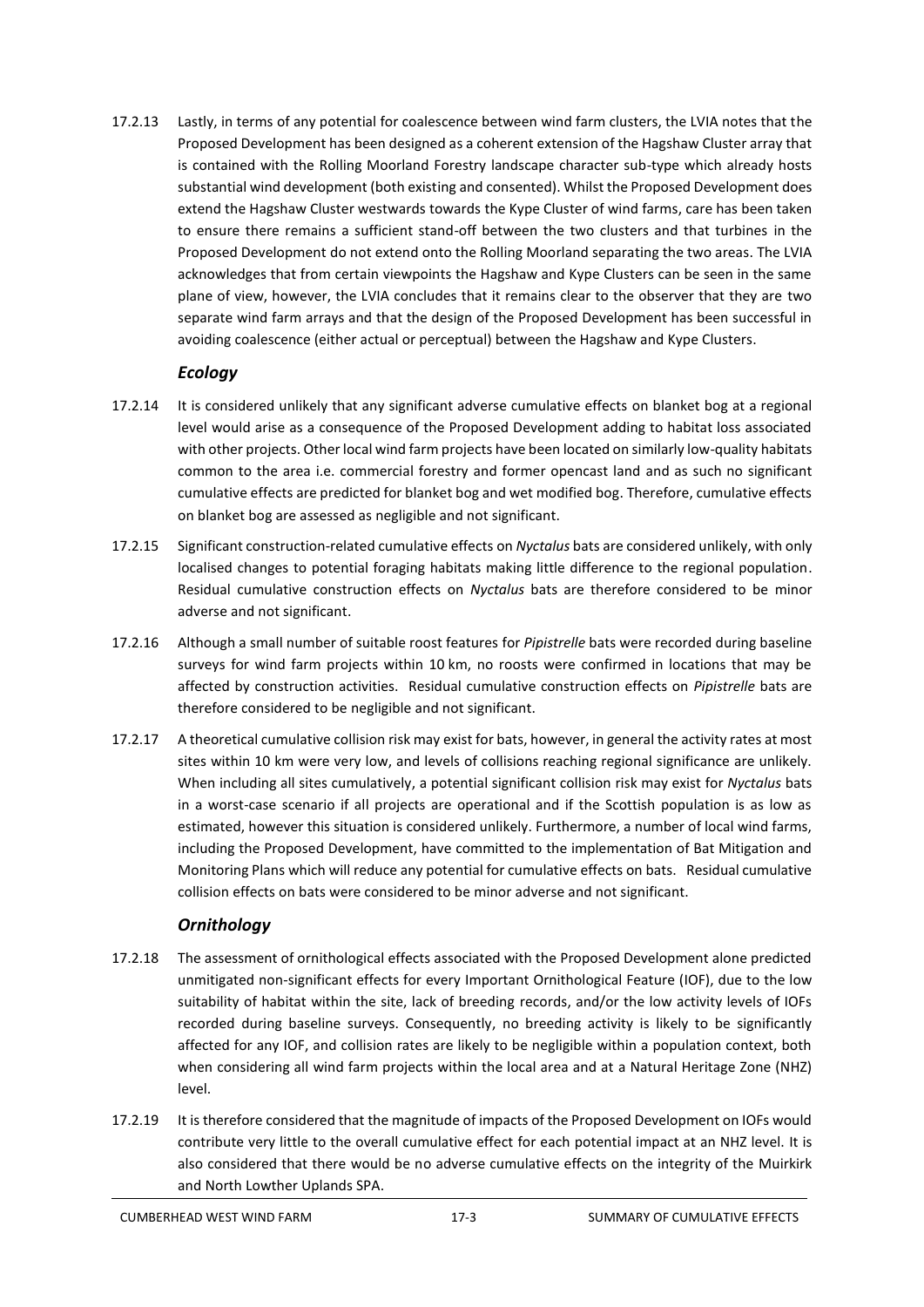17.2.13 Lastly, in terms of any potential for coalescence between wind farm clusters, the LVIA notes that the Proposed Development has been designed as a coherent extension of the Hagshaw Cluster array that is contained with the Rolling Moorland Forestry landscape character sub-type which already hosts substantial wind development (both existing and consented). Whilst the Proposed Development does extend the Hagshaw Cluster westwards towards the Kype Cluster of wind farms, care has been taken to ensure there remains a sufficient stand-off between the two clusters and that turbines in the Proposed Development do not extend onto the Rolling Moorland separating the two areas. The LVIA acknowledges that from certain viewpoints the Hagshaw and Kype Clusters can be seen in the same plane of view, however, the LVIA concludes that it remains clear to the observer that they are two separate wind farm arrays and that the design of the Proposed Development has been successful in avoiding coalescence (either actual or perceptual) between the Hagshaw and Kype Clusters.

#### *Ecology*

- 17.2.14 It is considered unlikely that any significant adverse cumulative effects on blanket bog at a regional level would arise as a consequence of the Proposed Development adding to habitat loss associated with other projects. Other local wind farm projects have been located on similarly low-quality habitats common to the area i.e. commercial forestry and former opencast land and as such no significant cumulative effects are predicted for blanket bog and wet modified bog. Therefore, cumulative effects on blanket bog are assessed as negligible and not significant.
- 17.2.15 Significant construction-related cumulative effects on *Nyctalus* bats are considered unlikely, with only localised changes to potential foraging habitats making little difference to the regional population. Residual cumulative construction effects on *Nyctalus* bats are therefore considered to be minor adverse and not significant.
- 17.2.16 Although a small number of suitable roost features for *Pipistrelle* bats were recorded during baseline surveys for wind farm projects within 10 km, no roosts were confirmed in locations that may be affected by construction activities. Residual cumulative construction effects on *Pipistrelle* bats are therefore considered to be negligible and not significant.
- 17.2.17 A theoretical cumulative collision risk may exist for bats, however, in general the activity rates at most sites within 10 km were very low, and levels of collisions reaching regional significance are unlikely. When including all sites cumulatively, a potential significant collision risk may exist for *Nyctalus* bats in a worst-case scenario if all projects are operational and if the Scottish population is as low as estimated, however this situation is considered unlikely. Furthermore, a number of local wind farms, including the Proposed Development, have committed to the implementation of Bat Mitigation and Monitoring Plans which will reduce any potential for cumulative effects on bats. Residual cumulative collision effects on bats were considered to be minor adverse and not significant.

#### *Ornithology*

- 17.2.18 The assessment of ornithological effects associated with the Proposed Development alone predicted unmitigated non-significant effects for every Important Ornithological Feature (IOF), due to the low suitability of habitat within the site, lack of breeding records, and/or the low activity levels of IOFs recorded during baseline surveys. Consequently, no breeding activity is likely to be significantly affected for any IOF, and collision rates are likely to be negligible within a population context, both when considering all wind farm projects within the local area and at a Natural Heritage Zone (NHZ) level.
- 17.2.19 It is therefore considered that the magnitude of impacts of the Proposed Development on IOFs would contribute very little to the overall cumulative effect for each potential impact at an NHZ level. It is also considered that there would be no adverse cumulative effects on the integrity of the Muirkirk and North Lowther Uplands SPA.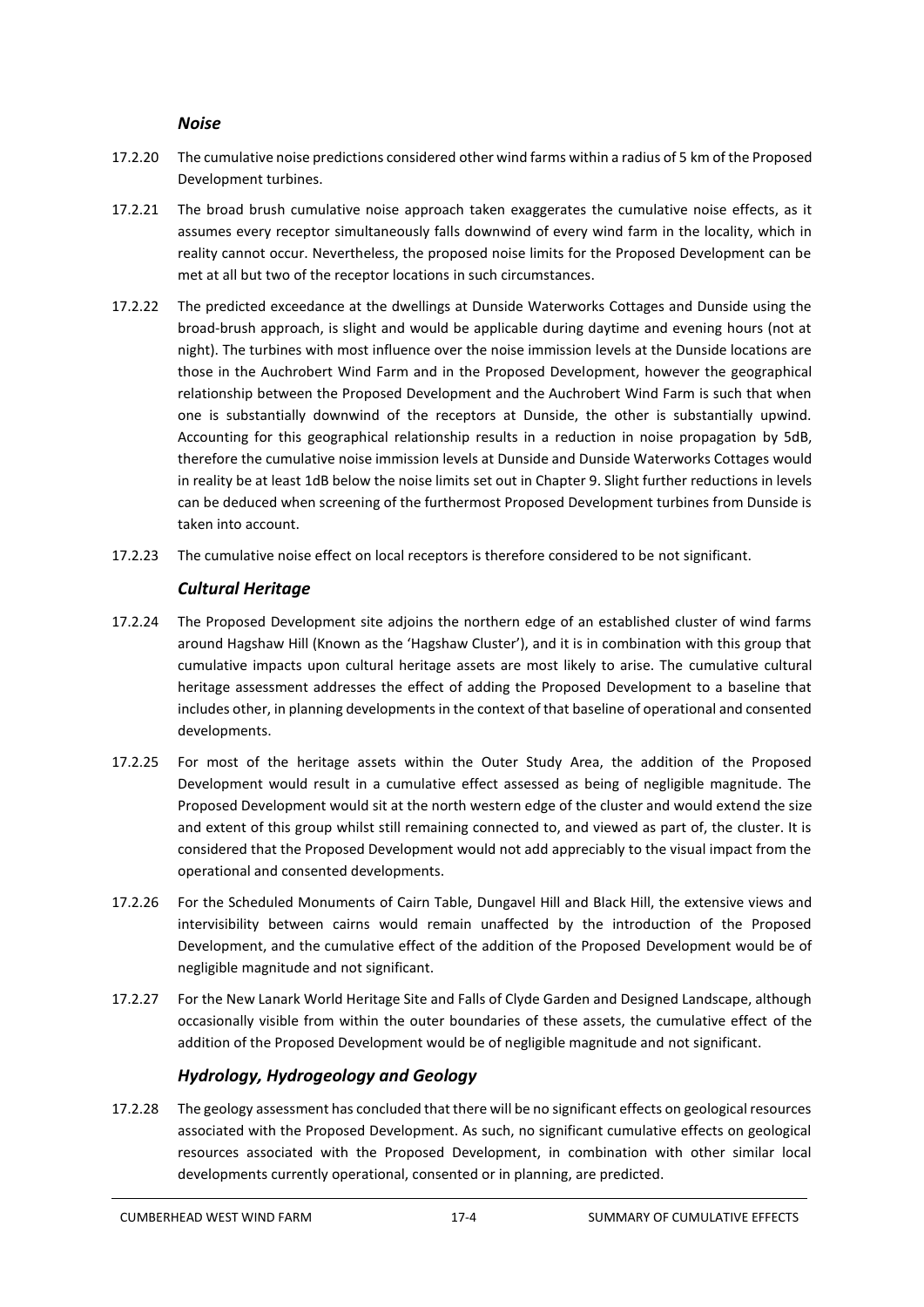#### *Noise*

- 17.2.20 The cumulative noise predictions considered other wind farms within a radius of 5 km of the Proposed Development turbines.
- 17.2.21 The broad brush cumulative noise approach taken exaggerates the cumulative noise effects, as it assumes every receptor simultaneously falls downwind of every wind farm in the locality, which in reality cannot occur. Nevertheless, the proposed noise limits for the Proposed Development can be met at all but two of the receptor locations in such circumstances.
- 17.2.22 The predicted exceedance at the dwellings at Dunside Waterworks Cottages and Dunside using the broad-brush approach, is slight and would be applicable during daytime and evening hours (not at night). The turbines with most influence over the noise immission levels at the Dunside locations are those in the Auchrobert Wind Farm and in the Proposed Development, however the geographical relationship between the Proposed Development and the Auchrobert Wind Farm is such that when one is substantially downwind of the receptors at Dunside, the other is substantially upwind. Accounting for this geographical relationship results in a reduction in noise propagation by 5dB, therefore the cumulative noise immission levels at Dunside and Dunside Waterworks Cottages would in reality be at least 1dB below the noise limits set out in Chapter 9. Slight further reductions in levels can be deduced when screening of the furthermost Proposed Development turbines from Dunside is taken into account.
- 17.2.23 The cumulative noise effect on local receptors is therefore considered to be not significant.

#### *Cultural Heritage*

- 17.2.24 The Proposed Development site adjoins the northern edge of an established cluster of wind farms around Hagshaw Hill (Known as the 'Hagshaw Cluster'), and it is in combination with this group that cumulative impacts upon cultural heritage assets are most likely to arise. The cumulative cultural heritage assessment addresses the effect of adding the Proposed Development to a baseline that includes other, in planning developments in the context of that baseline of operational and consented developments.
- 17.2.25 For most of the heritage assets within the Outer Study Area, the addition of the Proposed Development would result in a cumulative effect assessed as being of negligible magnitude. The Proposed Development would sit at the north western edge of the cluster and would extend the size and extent of this group whilst still remaining connected to, and viewed as part of, the cluster. It is considered that the Proposed Development would not add appreciably to the visual impact from the operational and consented developments.
- 17.2.26 For the Scheduled Monuments of Cairn Table, Dungavel Hill and Black Hill, the extensive views and intervisibility between cairns would remain unaffected by the introduction of the Proposed Development, and the cumulative effect of the addition of the Proposed Development would be of negligible magnitude and not significant.
- 17.2.27 For the New Lanark World Heritage Site and Falls of Clyde Garden and Designed Landscape, although occasionally visible from within the outer boundaries of these assets, the cumulative effect of the addition of the Proposed Development would be of negligible magnitude and not significant.

#### *Hydrology, Hydrogeology and Geology*

17.2.28 The geology assessment has concluded that there will be no significant effects on geological resources associated with the Proposed Development. As such, no significant cumulative effects on geological resources associated with the Proposed Development, in combination with other similar local developments currently operational, consented or in planning, are predicted.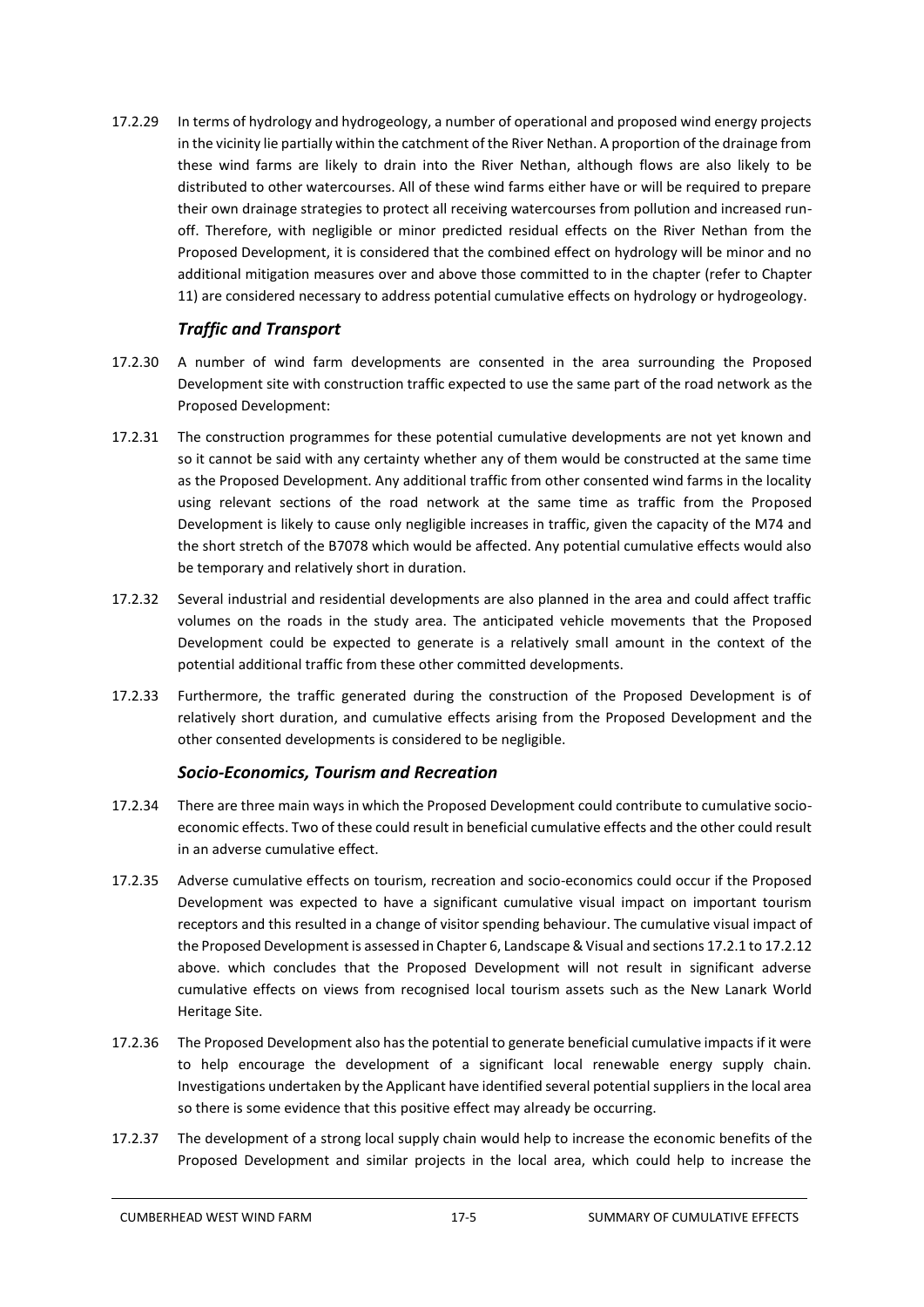17.2.29 In terms of hydrology and hydrogeology, a number of operational and proposed wind energy projects in the vicinity lie partially within the catchment of the River Nethan. A proportion of the drainage from these wind farms are likely to drain into the River Nethan, although flows are also likely to be distributed to other watercourses. All of these wind farms either have or will be required to prepare their own drainage strategies to protect all receiving watercourses from pollution and increased runoff. Therefore, with negligible or minor predicted residual effects on the River Nethan from the Proposed Development, it is considered that the combined effect on hydrology will be minor and no additional mitigation measures over and above those committed to in the chapter (refer to Chapter 11) are considered necessary to address potential cumulative effects on hydrology or hydrogeology.

#### *Traffic and Transport*

- 17.2.30 A number of wind farm developments are consented in the area surrounding the Proposed Development site with construction traffic expected to use the same part of the road network as the Proposed Development:
- 17.2.31 The construction programmes for these potential cumulative developments are not yet known and so it cannot be said with any certainty whether any of them would be constructed at the same time as the Proposed Development. Any additional traffic from other consented wind farms in the locality using relevant sections of the road network at the same time as traffic from the Proposed Development is likely to cause only negligible increases in traffic, given the capacity of the M74 and the short stretch of the B7078 which would be affected. Any potential cumulative effects would also be temporary and relatively short in duration.
- 17.2.32 Several industrial and residential developments are also planned in the area and could affect traffic volumes on the roads in the study area. The anticipated vehicle movements that the Proposed Development could be expected to generate is a relatively small amount in the context of the potential additional traffic from these other committed developments.
- 17.2.33 Furthermore, the traffic generated during the construction of the Proposed Development is of relatively short duration, and cumulative effects arising from the Proposed Development and the other consented developments is considered to be negligible.

#### *Socio-Economics, Tourism and Recreation*

- 17.2.34 There are three main ways in which the Proposed Development could contribute to cumulative socioeconomic effects. Two of these could result in beneficial cumulative effects and the other could result in an adverse cumulative effect.
- 17.2.35 Adverse cumulative effects on tourism, recreation and socio-economics could occur if the Proposed Development was expected to have a significant cumulative visual impact on important tourism receptors and this resulted in a change of visitor spending behaviour. The cumulative visual impact of the Proposed Development is assessed in Chapter 6, Landscape & Visual and sections 17.2.1 to 17.2.12 above. which concludes that the Proposed Development will not result in significant adverse cumulative effects on views from recognised local tourism assets such as the New Lanark World Heritage Site.
- 17.2.36 The Proposed Development also has the potential to generate beneficial cumulative impacts if it were to help encourage the development of a significant local renewable energy supply chain. Investigations undertaken by the Applicant have identified several potential suppliers in the local area so there is some evidence that this positive effect may already be occurring.
- 17.2.37 The development of a strong local supply chain would help to increase the economic benefits of the Proposed Development and similar projects in the local area, which could help to increase the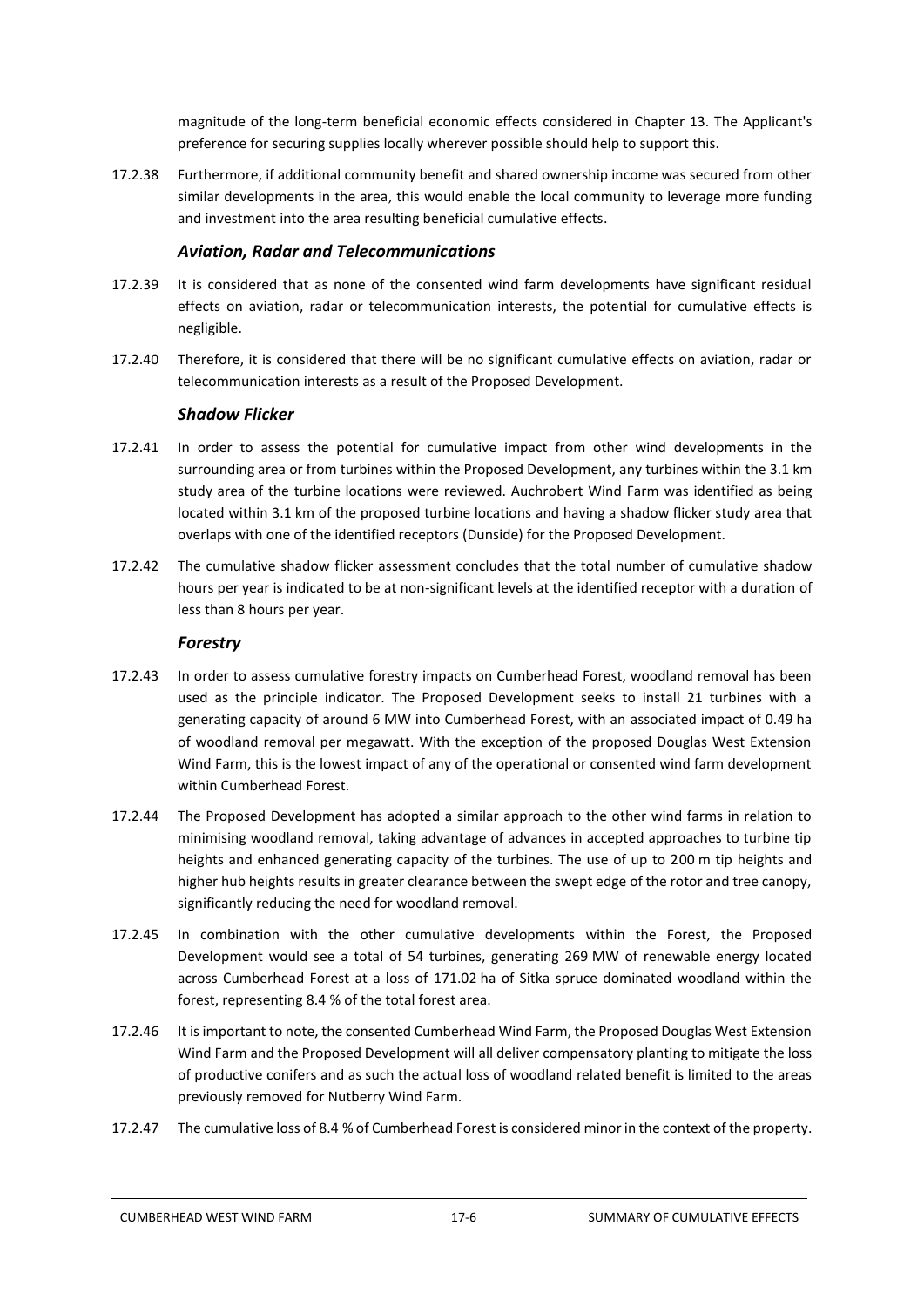magnitude of the long-term beneficial economic effects considered in Chapter 13. The Applicant's preference for securing supplies locally wherever possible should help to support this.

17.2.38 Furthermore, if additional community benefit and shared ownership income was secured from other similar developments in the area, this would enable the local community to leverage more funding and investment into the area resulting beneficial cumulative effects.

#### *Aviation, Radar and Telecommunications*

- 17.2.39 It is considered that as none of the consented wind farm developments have significant residual effects on aviation, radar or telecommunication interests, the potential for cumulative effects is negligible.
- 17.2.40 Therefore, it is considered that there will be no significant cumulative effects on aviation, radar or telecommunication interests as a result of the Proposed Development.

#### *Shadow Flicker*

- 17.2.41 In order to assess the potential for cumulative impact from other wind developments in the surrounding area or from turbines within the Proposed Development, any turbines within the 3.1 km study area of the turbine locations were reviewed. Auchrobert Wind Farm was identified as being located within 3.1 km of the proposed turbine locations and having a shadow flicker study area that overlaps with one of the identified receptors (Dunside) for the Proposed Development.
- 17.2.42 The cumulative shadow flicker assessment concludes that the total number of cumulative shadow hours per year is indicated to be at non-significant levels at the identified receptor with a duration of less than 8 hours per year.

#### *Forestry*

- 17.2.43 In order to assess cumulative forestry impacts on Cumberhead Forest, woodland removal has been used as the principle indicator. The Proposed Development seeks to install 21 turbines with a generating capacity of around 6 MW into Cumberhead Forest, with an associated impact of 0.49 ha of woodland removal per megawatt. With the exception of the proposed Douglas West Extension Wind Farm, this is the lowest impact of any of the operational or consented wind farm development within Cumberhead Forest.
- 17.2.44 The Proposed Development has adopted a similar approach to the other wind farms in relation to minimising woodland removal, taking advantage of advances in accepted approaches to turbine tip heights and enhanced generating capacity of the turbines. The use of up to 200 m tip heights and higher hub heights results in greater clearance between the swept edge of the rotor and tree canopy, significantly reducing the need for woodland removal.
- 17.2.45 In combination with the other cumulative developments within the Forest, the Proposed Development would see a total of 54 turbines, generating 269 MW of renewable energy located across Cumberhead Forest at a loss of 171.02 ha of Sitka spruce dominated woodland within the forest, representing 8.4 % of the total forest area.
- 17.2.46 It is important to note, the consented Cumberhead Wind Farm, the Proposed Douglas West Extension Wind Farm and the Proposed Development will all deliver compensatory planting to mitigate the loss of productive conifers and as such the actual loss of woodland related benefit is limited to the areas previously removed for Nutberry Wind Farm.
- 17.2.47 The cumulative loss of 8.4 % of Cumberhead Forest is considered minor in the context of the property.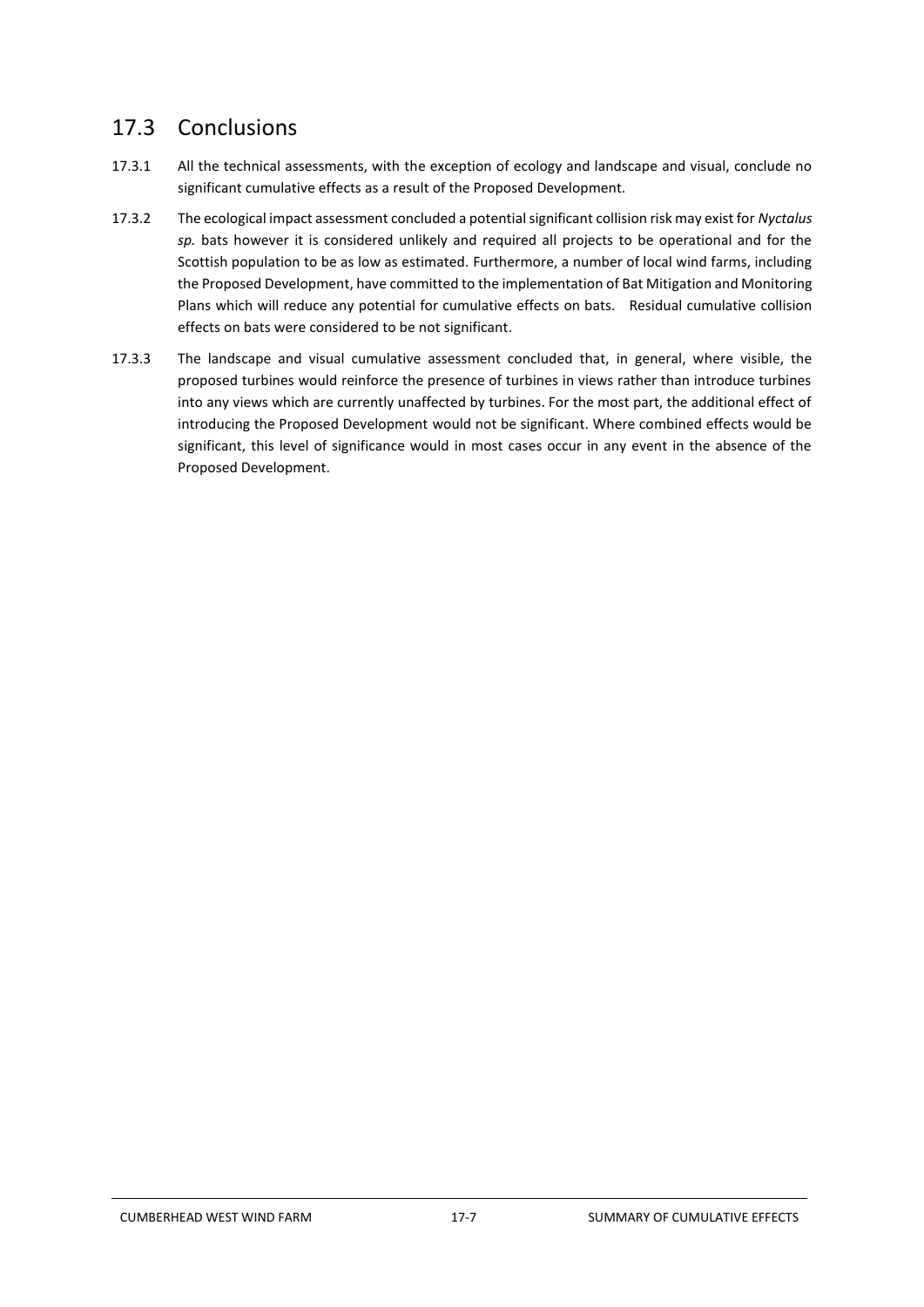## <span id="page-8-0"></span>17.3 Conclusions

- 17.3.1 All the technical assessments, with the exception of ecology and landscape and visual, conclude no significant cumulative effects as a result of the Proposed Development.
- 17.3.2 The ecological impact assessment concluded a potential significant collision risk may exist for *Nyctalus sp.* bats however it is considered unlikely and required all projects to be operational and for the Scottish population to be as low as estimated. Furthermore, a number of local wind farms, including the Proposed Development, have committed to the implementation of Bat Mitigation and Monitoring Plans which will reduce any potential for cumulative effects on bats. Residual cumulative collision effects on bats were considered to be not significant.
- 17.3.3 The landscape and visual cumulative assessment concluded that, in general, where visible, the proposed turbines would reinforce the presence of turbines in views rather than introduce turbines into any views which are currently unaffected by turbines. For the most part, the additional effect of introducing the Proposed Development would not be significant. Where combined effects would be significant, this level of significance would in most cases occur in any event in the absence of the Proposed Development.